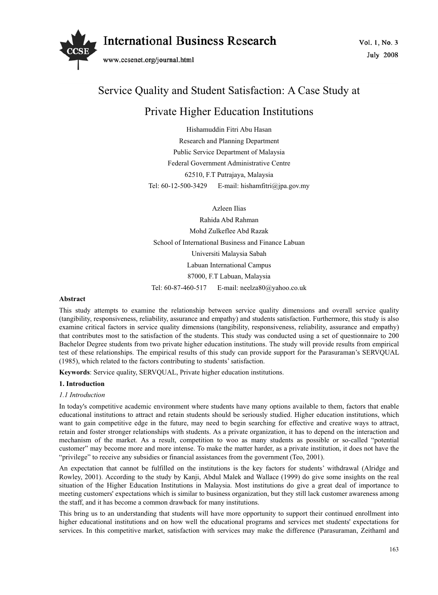

# Service Quality and Student Satisfaction: A Case Study at Private Higher Education Institutions

Hishamuddin Fitri Abu Hasan Research and Planning Department Public Service Department of Malaysia Federal Government Administrative Centre 62510, F.T Putrajaya, Malaysia Tel:  $60-12-500-3429$  E-mail: hishamfitri@jpa.gov.my

Azleen Ilias

Rahida Abd Rahman Mohd Zulkeflee Abd Razak School of International Business and Finance Labuan Universiti Malaysia Sabah Labuan International Campus 87000, F.T Labuan, Malaysia Tel: 60-87-460-517 E-mail: neelza80@yahoo.co.uk

# **Abstract**

This study attempts to examine the relationship between service quality dimensions and overall service quality (tangibility, responsiveness, reliability, assurance and empathy) and students satisfaction. Furthermore, this study is also examine critical factors in service quality dimensions (tangibility, responsiveness, reliability, assurance and empathy) that contributes most to the satisfaction of the students. This study was conducted using a set of questionnaire to 200 Bachelor Degree students from two private higher education institutions. The study will provide results from empirical test of these relationships. The empirical results of this study can provide support for the Parasuraman's SERVQUAL (1985), which related to the factors contributing to students' satisfaction.

**Keywords**: Service quality, SERVQUAL, Private higher education institutions.

# **1. Introduction**

# *1.1 Introduction*

In today's competitive academic environment where students have many options available to them, factors that enable educational institutions to attract and retain students should be seriously studied. Higher education institutions, which want to gain competitive edge in the future, may need to begin searching for effective and creative ways to attract, retain and foster stronger relationships with students. As a private organization, it has to depend on the interaction and mechanism of the market. As a result, competition to woo as many students as possible or so-called "potential customer" may become more and more intense. To make the matter harder, as a private institution, it does not have the "privilege" to receive any subsidies or financial assistances from the government (Teo, 2001).

An expectation that cannot be fulfilled on the institutions is the key factors for students' withdrawal (Alridge and Rowley, 2001). According to the study by Kanji, Abdul Malek and Wallace (1999) do give some insights on the real situation of the Higher Education Institutions in Malaysia. Most institutions do give a great deal of importance to meeting customers' expectations which is similar to business organization, but they still lack customer awareness among the staff, and it has become a common drawback for many institutions.

This bring us to an understanding that students will have more opportunity to support their continued enrollment into higher educational institutions and on how well the educational programs and services met students' expectations for services. In this competitive market, satisfaction with services may make the difference (Parasuraman, Zeithaml and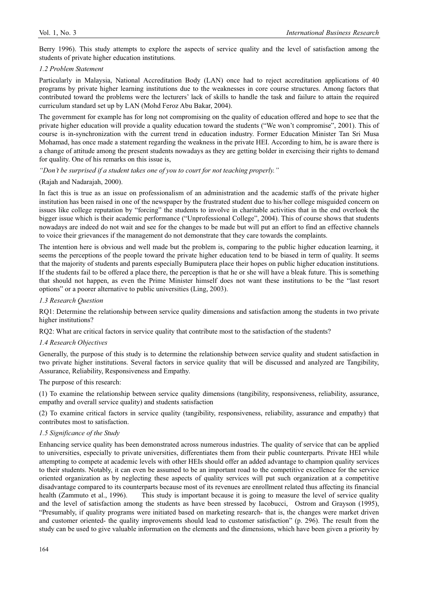Berry 1996). This study attempts to explore the aspects of service quality and the level of satisfaction among the students of private higher education institutions.

# *1.2 Problem Statement*

Particularly in Malaysia, National Accreditation Body (LAN) once had to reject accreditation applications of 40 programs by private higher learning institutions due to the weaknesses in core course structures. Among factors that contributed toward the problems were the lecturers' lack of skills to handle the task and failure to attain the required curriculum standard set up by LAN (Mohd Feroz Abu Bakar, 2004).

The government for example has for long not compromising on the quality of education offered and hope to see that the private higher education will provide a quality education toward the students ("We won't compromise", 2001). This of course is in-synchronization with the current trend in education industry. Former Education Minister Tan Sri Musa Mohamad, has once made a statement regarding the weakness in the private HEI. According to him, he is aware there is a change of attitude among the present students nowadays as they are getting bolder in exercising their rights to demand for quality. One of his remarks on this issue is,

*"Don't be surprised if a student takes one of you to court for not teaching properly."* 

#### (Rajah and Nadarajah, 2000).

In fact this is true as an issue on professionalism of an administration and the academic staffs of the private higher institution has been raised in one of the newspaper by the frustrated student due to his/her college misguided concern on issues like college reputation by "forcing" the students to involve in charitable activities that in the end overlook the bigger issue which is their academic performance ("Unprofessional College", 2004). This of course shows that students nowadays are indeed do not wait and see for the changes to be made but will put an effort to find an effective channels to voice their grievances if the management do not demonstrate that they care towards the complaints.

The intention here is obvious and well made but the problem is, comparing to the public higher education learning, it seems the perceptions of the people toward the private higher education tend to be biased in term of quality. It seems that the majority of students and parents especially Bumiputera place their hopes on public higher education institutions. If the students fail to be offered a place there, the perception is that he or she will have a bleak future. This is something that should not happen, as even the Prime Minister himself does not want these institutions to be the "last resort options" or a poorer alternative to public universities (Ling, 2003).

#### *1.3 Research Question*

RQ1: Determine the relationship between service quality dimensions and satisfaction among the students in two private higher institutions?

RQ2: What are critical factors in service quality that contribute most to the satisfaction of the students?

#### *1.4 Research Objectives*

Generally, the purpose of this study is to determine the relationship between service quality and student satisfaction in two private higher institutions. Several factors in service quality that will be discussed and analyzed are Tangibility, Assurance, Reliability, Responsiveness and Empathy.

# The purpose of this research:

(1) To examine the relationship between service quality dimensions (tangibility, responsiveness, reliability, assurance, empathy and overall service quality) and students satisfaction

(2) To examine critical factors in service quality (tangibility, responsiveness, reliability, assurance and empathy) that contributes most to satisfaction.

## *1.5 Significance of the Study*

Enhancing service quality has been demonstrated across numerous industries. The quality of service that can be applied to universities, especially to private universities, differentiates them from their public counterparts. Private HEI while attempting to compete at academic levels with other HEIs should offer an added advantage to champion quality services to their students. Notably, it can even be assumed to be an important road to the competitive excellence for the service oriented organization as by neglecting these aspects of quality services will put such organization at a competitive disadvantage compared to its counterparts because most of its revenues are enrollment related thus affecting its financial health (Zammuto et al., 1996). This study is important because it is going to measure the level of service quality and the level of satisfaction among the students as have been stressed by Iacobucci, Ostrom and Grayson (1995), "Presumably, if quality programs were initiated based on marketing research- that is, the changes were market driven and customer oriented- the quality improvements should lead to customer satisfaction" (p. 296). The result from the study can be used to give valuable information on the elements and the dimensions, which have been given a priority by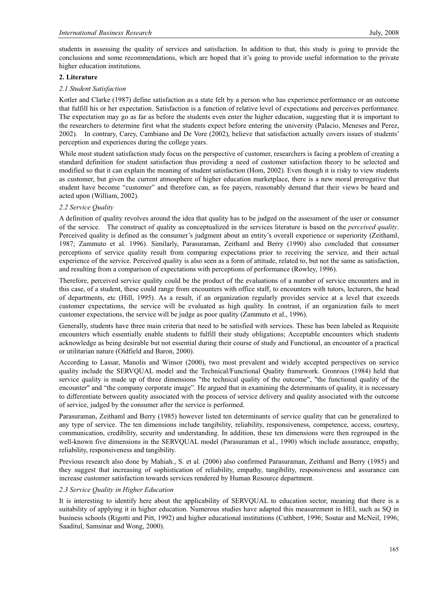students in assessing the quality of services and satisfaction. In addition to that, this study is going to provide the conclusions and some recommendations, which are hoped that it's going to provide useful information to the private higher education institutions.

# **2. Literature**

# *2.1 Student Satisfaction*

Kotler and Clarke (1987) define satisfaction as a state felt by a person who has experience performance or an outcome that fulfill his or her expectation. Satisfaction is a function of relative level of expectations and perceives performance. The expectation may go as far as before the students even enter the higher education, suggesting that it is important to the researchers to determine first what the students expect before entering the university (Palacio, Meneses and Perez, 2002). In contrary, Carey, Cambiano and De Vore (2002), believe that satisfaction actually covers issues of students' perception and experiences during the college years.

While most student satisfaction study focus on the perspective of customer, researchers is facing a problem of creating a standard definition for student satisfaction thus providing a need of customer satisfaction theory to be selected and modified so that it can explain the meaning of student satisfaction (Hom, 2002). Even though it is risky to view students as customer, but given the current atmosphere of higher education marketplace, there is a new moral prerogative that student have become "customer" and therefore can, as fee payers, reasonably demand that their views be heard and acted upon (William, 2002).

# *2.2 Service Quality*

A definition of quality revolves around the idea that quality has to be judged on the assessment of the user or consumer of the service. The construct of quality as conceptualized in the services literature is based on the *perceived quality*. Perceived quality is defined as the consumer's judgment about an entity's overall experience or superiority (Zeithaml, 1987; Zammuto et al. 1996). Similarly, Parasuraman, Zeithaml and Berry (1990) also concluded that consumer perceptions of service quality result from comparing expectations prior to receiving the service, and their actual experience of the service. Perceived quality is also seen as a form of attitude, related to, but not the same as satisfaction, and resulting from a comparison of expectations with perceptions of performance (Rowley, 1996).

Therefore, perceived service quality could be the product of the evaluations of a number of service encounters and in this case, of a student, these could range from encounters with office staff, to encounters with tutors, lecturers, the head of departments, etc (Hill, 1995). As a result, if an organization regularly provides service at a level that exceeds customer expectations, the service will be evaluated as high quality. In contrast, if an organization fails to meet customer expectations, the service will be judge as poor quality (Zammuto et al., 1996).

Generally, students have three main criteria that need to be satisfied with services. These has been labeled as Requisite encounters which essentially enable students to fulfill their study obligations; Acceptable encounters which students acknowledge as being desirable but not essential during their course of study and Functional, an encounter of a practical or utilitarian nature (Oldfield and Baron, 2000).

According to Lassar, Manolis and Winsor (2000), two most prevalent and widely accepted perspectives on service quality include the SERVQUAL model and the Technical/Functional Quality framework. Gronroos (1984) held that service quality is made up of three dimensions "the technical quality of the outcome", "the functional quality of the encounter" and "the company corporate image". He argued that in examining the determinants of quality, it is necessary to differentiate between quality associated with the process of service delivery and quality associated with the outcome of service, judged by the consumer after the service is performed.

Parasuraman, Zeithaml and Berry (1985) however listed ten determinants of service quality that can be generalized to any type of service. The ten dimensions include tangibility, reliability, responsiveness, competence, access, courtesy, communication, credibility, security and understanding. In addition, these ten dimensions were then regrouped in the well-known five dimensions in the SERVQUAL model (Parasuraman et al., 1990) which include assurance, empathy, reliability, responsiveness and tangibility.

Previous research also done by Mahiah., S. et al. (2006) also confirmed Parasuraman, Zeithaml and Berry (1985) and they suggest that increasing of sophistication of reliability, empathy, tangibility, responsiveness and assurance can increase customer satisfaction towards services rendered by Human Resource department.

# *2.3 Service Quality in Higher Education*

It is interesting to identify here about the applicability of SERVQUAL to education sector, meaning that there is a suitability of applying it in higher education. Numerous studies have adapted this measurement in HEI, such as SQ in business schools (Rigotti and Pitt, 1992) and higher educational institutions (Cuthbert, 1996; Soutar and McNeil, 1996; Saaditul, Samsinar and Wong, 2000).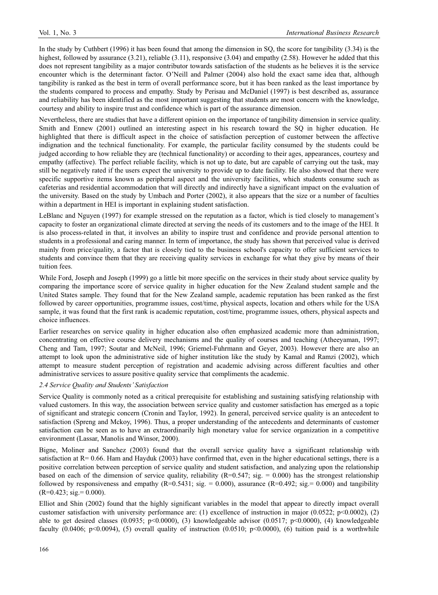In the study by Cuthbert (1996) it has been found that among the dimension in SQ, the score for tangibility (3.34) is the highest, followed by assurance (3.21), reliable (3.11), responsive (3.04) and empathy (2.58). However he added that this does not represent tangibility as a major contributor towards satisfaction of the students as he believes it is the service encounter which is the determinant factor. O'Neill and Palmer (2004) also hold the exact same idea that, although tangibility is ranked as the best in term of overall performance score, but it has been ranked as the least importance by the students compared to process and empathy. Study by Perisau and McDaniel (1997) is best described as, assurance and reliability has been identified as the most important suggesting that students are most concern with the knowledge, courtesy and ability to inspire trust and confidence which is part of the assurance dimension.

Nevertheless, there are studies that have a different opinion on the importance of tangibility dimension in service quality. Smith and Ennew (2001) outlined an interesting aspect in his research toward the SQ in higher education. He highlighted that there is difficult aspect in the choice of satisfaction perception of customer between the affective indignation and the technical functionality. For example, the particular facility consumed by the students could be judged according to how reliable they are (technical functionality) or according to their ages, appearances, courtesy and empathy (affective). The perfect reliable facility, which is not up to date, but are capable of carrying out the task, may still be negatively rated if the users expect the university to provide up to date facility. He also showed that there were specific supportive items known as peripheral aspect and the university facilities, which students consume such as cafeterias and residential accommodation that will directly and indirectly have a significant impact on the evaluation of the university. Based on the study by Umbach and Porter (2002), it also appears that the size or a number of faculties within a department in HEI is important in explaining student satisfaction.

LeBlanc and Nguyen (1997) for example stressed on the reputation as a factor, which is tied closely to management's capacity to foster an organizational climate directed at serving the needs of its customers and to the image of the HEI. It is also process-related in that, it involves an ability to inspire trust and confidence and provide personal attention to students in a professional and caring manner. In term of importance, the study has shown that perceived value is derived mainly from price/quality, a factor that is closely tied to the business school's capacity to offer sufficient services to students and convince them that they are receiving quality services in exchange for what they give by means of their tuition fees.

While Ford, Joseph and Joseph (1999) go a little bit more specific on the services in their study about service quality by comparing the importance score of service quality in higher education for the New Zealand student sample and the United States sample. They found that for the New Zealand sample, academic reputation has been ranked as the first followed by career opportunities, programme issues, cost/time, physical aspects, location and others while for the USA sample, it was found that the first rank is academic reputation, cost/time, programme issues, others, physical aspects and choice influences.

Earlier researches on service quality in higher education also often emphasized academic more than administration, concentrating on effective course delivery mechanisms and the quality of courses and teaching (Atheeyaman, 1997; Cheng and Tam, 1997; Soutar and McNeil, 1996; Griemel-Fuhrmann and Geyer, 2003). However there are also an attempt to look upon the administrative side of higher institution like the study by Kamal and Ramzi (2002), which attempt to measure student perception of registration and academic advising across different faculties and other administrative services to assure positive quality service that compliments the academic.

# *2.4 Service Quality and Students' Satisfaction*

Service Quality is commonly noted as a critical prerequisite for establishing and sustaining satisfying relationship with valued customers. In this way, the association between service quality and customer satisfaction has emerged as a topic of significant and strategic concern (Cronin and Taylor, 1992). In general, perceived service quality is an antecedent to satisfaction (Spreng and Mckoy, 1996). Thus, a proper understanding of the antecedents and determinants of customer satisfaction can be seen as to have an extraordinarily high monetary value for service organization in a competitive environment (Lassar, Manolis and Winsor, 2000).

Bigne, Moliner and Sanchez (2003) found that the overall service quality have a significant relationship with satisfaction at R= 0.66. Ham and Hayduk (2003) have confirmed that, even in the higher educational settings, there is a positive correlation between perception of service quality and student satisfaction, and analyzing upon the relationship based on each of the dimension of service quality, reliability  $(R=0.547; sig. = 0.000)$  has the strongest relationship followed by responsiveness and empathy  $(R=0.5431; sig. = 0.000)$ , assurance  $(R=0.492; sig. = 0.000)$  and tangibility  $(R=0.423; sig = 0.000)$ .

Elliot and Shin (2002) found that the highly significant variables in the model that appear to directly impact overall customer satisfaction with university performance are: (1) excellence of instruction in major (0.0522; p<0.0002), (2) able to get desired classes (0.0935; p<0.0000), (3) knowledgeable advisor (0.0517; p<0.0000), (4) knowledgeable faculty (0.0406; p<0.0094), (5) overall quality of instruction (0.0510; p<0.0000), (6) tuition paid is a worthwhile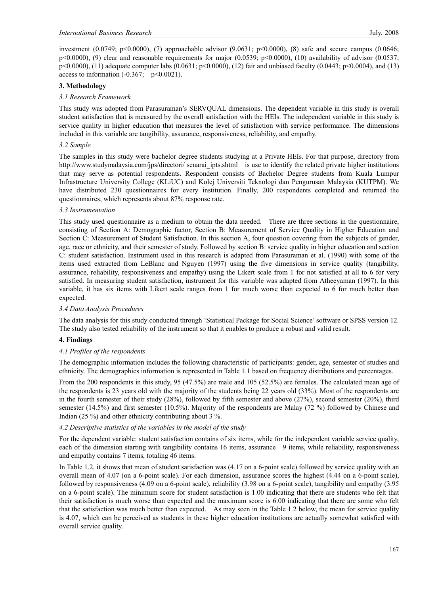investment (0.0749; p<0.0000), (7) approachable advisor (9.0631; p<0.0000), (8) safe and secure campus (0.0646; p<0.0000), (9) clear and reasonable requirements for major (0.0539; p<0.0000), (10) availability of advisor (0.0537; p<0.0000), (11) adequate computer labs (0.0631; p<0.0000), (12) fair and unbiased faculty (0.0443; p<0.0004), and (13) access to information  $(-0.367; p<0.0021)$ .

## **3. Methodology**

#### *3.1 Research Framework*

This study was adopted from Parasuraman's SERVQUAL dimensions. The dependent variable in this study is overall student satisfaction that is measured by the overall satisfaction with the HEIs. The independent variable in this study is service quality in higher education that measures the level of satisfaction with service performance. The dimensions included in this variable are tangibility, assurance, responsiveness, reliability, and empathy.

#### *3.2 Sample*

The samples in this study were bachelor degree students studying at a Private HEIs. For that purpose, directory from http://www.studymalaysia.com/jps/directori/ senarai ipts.shtml is use to identify the related private higher institutions that may serve as potential respondents. Respondent consists of Bachelor Degree students from Kuala Lumpur Infrastructure University College (KLiUC) and Kolej Universiti Teknologi dan Pengurusan Malaysia (KUTPM). We have distributed 230 questionnaires for every institution. Finally, 200 respondents completed and returned the questionnaires, which represents about 87% response rate.

## *3.3 Instrumentation*

This study used questionnaire as a medium to obtain the data needed. There are three sections in the questionnaire, consisting of Section A: Demographic factor, Section B: Measurement of Service Quality in Higher Education and Section C: Measurement of Student Satisfaction. In this section A, four question covering from the subjects of gender, age, race or ethnicity, and their semester of study. Followed by section B: service quality in higher education and section C: student satisfaction. Instrument used in this research is adapted from Parasuraman et al. (1990) with some of the items used extracted from LeBlanc and Nguyen (1997) using the five dimensions in service quality (tangibility, assurance, reliability, responsiveness and empathy) using the Likert scale from 1 for not satisfied at all to 6 for very satisfied. In measuring student satisfaction, instrument for this variable was adapted from Atheeyaman (1997). In this variable, it has six items with Likert scale ranges from 1 for much worse than expected to 6 for much better than expected.

# *3.4 Data Analysis Procedures*

The data analysis for this study conducted through 'Statistical Package for Social Science' software or SPSS version 12. The study also tested reliability of the instrument so that it enables to produce a robust and valid result.

# **4. Findings**

#### *4.1 Profiles of the respondents*

The demographic information includes the following characteristic of participants: gender, age, semester of studies and ethnicity. The demographics information is represented in Table 1.1 based on frequency distributions and percentages.

From the 200 respondents in this study, 95 (47.5%) are male and 105 (52.5%) are females. The calculated mean age of the respondents is 23 years old with the majority of the students being 22 years old (33%). Most of the respondents are in the fourth semester of their study (28%), followed by fifth semester and above (27%), second semester (20%), third semester (14.5%) and first semester (10.5%). Majority of the respondents are Malay (72 %) followed by Chinese and Indian (25 %) and other ethnicity contributing about 3 %.

## *4.2 Descriptive statistics of the variables in the model of the study*

For the dependent variable: student satisfaction contains of six items, while for the independent variable service quality, each of the dimension starting with tangibility contains 16 items, assurance 9 items, while reliability, responsiveness and empathy contains 7 items, totaling 46 items.

In Table 1.2, it shows that mean of student satisfaction was (4.17 on a 6-point scale) followed by service quality with an overall mean of 4.07 (on a 6-point scale). For each dimension, assurance scores the highest (4.44 on a 6-point scale), followed by responsiveness (4.09 on a 6-point scale), reliability (3.98 on a 6-point scale), tangibility and empathy (3.95 on a 6-point scale). The minimum score for student satisfaction is 1.00 indicating that there are students who felt that their satisfaction is much worse than expected and the maximum score is 6.00 indicating that there are some who felt that the satisfaction was much better than expected. As may seen in the Table 1.2 below, the mean for service quality is 4.07, which can be perceived as students in these higher education institutions are actually somewhat satisfied with overall service quality.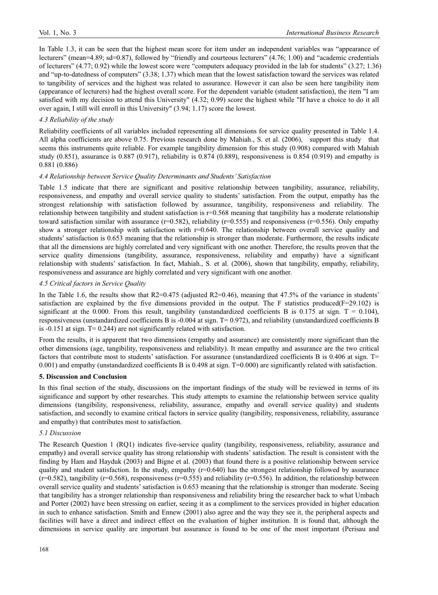In Table 1.3, it can be seen that the highest mean score for item under an independent variables was "appearance of lecturers" (mean=4.89; sd=0.87), followed by "friendly and courteous lecturers" (4.76; 1.00) and "academic credentials of lecturers" (4.77; 0.92) while the lowest score were "computers adequacy provided in the lab for students" (3.27; 1.36) and "up-to-datedness of computers" (3.38; 1.37) which mean that the lowest satisfaction toward the services was related to tangibility of services and the highest was related to assurance. However it can also be seen here tangibility item (appearance of lecturers) had the highest overall score. For the dependent variable (student satisfaction), the item "I am satisfied with my decision to attend this University" (4.32; 0.99) score the highest while "If have a choice to do it all over again, I still will enroll in this University" (3.94; 1.17) score the lowest.

#### *4.3 Reliability of the study*

Reliability coefficients of all variables included representing all dimensions for service quality presented in Table 1.4. All alpha coefficients are above 0.75. Previous research done by Mahiah., S. et al. (2006), support this study that seems this instruments quite reliable. For example tangibility dimension for this study (0.908) compared with Mahiah study (0.851), assurance is 0.887 (0.917), reliability is 0.874 (0.889), responsiveness is 0.854 (0.919) and empathy is 0.881 (0.886)

#### *4.4 Relationship between Service Quality Determinants and Students' Satisfaction*

Table 1.5 indicate that there are significant and positive relationship between tangibility, assurance, reliability, responsiveness, and empathy and overall service quality to students' satisfaction. From the output, empathy has the strongest relationship with satisfaction followed by assurance, tangibility, responsiveness and reliability. The relationship between tangibility and student satisfaction is  $r=0.568$  meaning that tangibility has a moderate relationship toward satisfaction similar with assurance (r=0.582), reliability (r=0.555) and responsiveness (r=0.556). Only empathy show a stronger relationship with satisfaction with  $r=0.640$ . The relationship between overall service quality and students' satisfaction is 0.653 meaning that the relationship is stronger than moderate. Furthermore, the results indicate that all the dimensions are highly correlated and very significant with one another. Therefore, the results proven that the service quality dimensions (tangibility, assurance, responsiveness, reliability and empathy) have a significant relationship with students' satisfaction. In fact, Mahiah., S. et al. (2006), shown that tangibility, empathy, reliability, responsiveness and assurance are highly correlated and very significant with one another.

#### *4.5 Critical factors in Service Quality*

In the Table 1.6, the results show that  $R2=0.475$  (adjusted  $R2=0.46$ ), meaning that 47.5% of the variance in students' satisfaction are explained by the five dimensions provided in the output. The F statistics produced(F=29.102) is significant at the 0.000. From this result, tangibility (unstandardized coefficients B is 0.175 at sign.  $T = 0.104$ ), responsiveness (unstandardized coefficients B is -0.004 at sign. T= 0.972), and reliability (unstandardized coefficients B is -0.151 at sign. T= 0.244) are not significantly related with satisfaction.

From the results, it is apparent that two dimensions (empathy and assurance) are consistently more significant than the other dimensions (age, tangibility, responsiveness and reliability). It mean empathy and assurance are the two critical factors that contribute most to students' satisfaction. For assurance (unstandardized coefficients B is 0.406 at sign. T= 0.001) and empathy (unstandardized coefficients B is 0.498 at sign. T=0.000) are significantly related with satisfaction.

#### **5. Discussion and Conclusion**

In this final section of the study, discussions on the important findings of the study will be reviewed in terms of its significance and support by other researches. This study attempts to examine the relationship between service quality dimensions (tangibility, responsiveness, reliability, assurance, empathy and overall service quality) and students satisfaction, and secondly to examine critical factors in service quality (tangibility, responsiveness, reliability, assurance and empathy) that contributes most to satisfaction.

## *5.1 Discussion*

The Research Question 1 (RQ1) indicates five-service quality (tangibility, responsiveness, reliability, assurance and empathy) and overall service quality has strong relationship with students' satisfaction. The result is consistent with the finding by Ham and Hayduk (2003) and Bigne et al. (2003) that found there is a positive relationship between service quality and student satisfaction. In the study, empathy  $(r=0.640)$  has the strongest relationship followed by assurance  $(r=0.582)$ , tangibility (r=0.568), responsiveness (r=0.555) and reliability (r=0.556). In addition, the relationship between overall service quality and students' satisfaction is 0.653 meaning that the relationship is stronger than moderate. Seeing that tangibility has a stronger relationship than responsiveness and reliability bring the researcher back to what Umbach and Porter (2002) have been stressing on earlier, seeing it as a compliment to the services provided in higher education in such to enhance satisfaction. Smith and Ennew (2001) also agree and the way they see it, the peripheral aspects and facilities will have a direct and indirect effect on the evaluation of higher institution. It is found that, although the dimensions in service quality are important but assurance is found to be one of the most important (Perisau and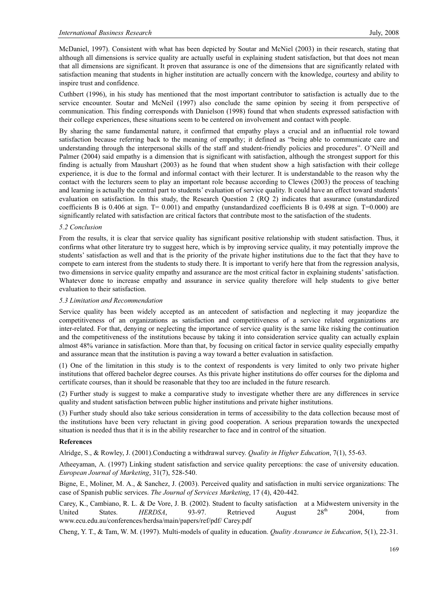McDaniel, 1997). Consistent with what has been depicted by Soutar and McNiel (2003) in their research, stating that although all dimensions is service quality are actually useful in explaining student satisfaction, but that does not mean that all dimensions are significant. It proven that assurance is one of the dimensions that are significantly related with satisfaction meaning that students in higher institution are actually concern with the knowledge, courtesy and ability to inspire trust and confidence.

Cuthbert (1996), in his study has mentioned that the most important contributor to satisfaction is actually due to the service encounter. Soutar and McNeil (1997) also conclude the same opinion by seeing it from perspective of communication. This finding corresponds with Danielson (1998) found that when students expressed satisfaction with their college experiences, these situations seem to be centered on involvement and contact with people.

By sharing the same fundamental nature, it confirmed that empathy plays a crucial and an influential role toward satisfaction because referring back to the meaning of empathy; it defined as "being able to communicate care and understanding through the interpersonal skills of the staff and student-friendly policies and procedures". O'Neill and Palmer (2004) said empathy is a dimension that is significant with satisfaction, although the strongest support for this finding is actually from Maushart (2003) as he found that when student show a high satisfaction with their college experience, it is due to the formal and informal contact with their lecturer. It is understandable to the reason why the contact with the lecturers seem to play an important role because according to Clewes (2003) the process of teaching and learning is actually the central part to students' evaluation of service quality. It could have an effect toward students' evaluation on satisfaction. In this study, the Research Question 2 (RQ 2) indicates that assurance (unstandardized coefficients B is 0.406 at sign.  $T = 0.001$  and empathy (unstandardized coefficients B is 0.498 at sign.  $T=0.000$ ) are significantly related with satisfaction are critical factors that contribute most to the satisfaction of the students.

#### *5.2 Conclusion*

From the results, it is clear that service quality has significant positive relationship with student satisfaction. Thus, it confirms what other literature try to suggest here, which is by improving service quality, it may potentially improve the students' satisfaction as well and that is the priority of the private higher institutions due to the fact that they have to compete to earn interest from the students to study there. It is important to verify here that from the regression analysis, two dimensions in service quality empathy and assurance are the most critical factor in explaining students' satisfaction. Whatever done to increase empathy and assurance in service quality therefore will help students to give better evaluation to their satisfaction.

#### *5.3 Limitation and Recommendation*

Service quality has been widely accepted as an antecedent of satisfaction and neglecting it may jeopardize the competitiveness of an organizations as satisfaction and competitiveness of a service related organizations are inter-related. For that, denying or neglecting the importance of service quality is the same like risking the continuation and the competitiveness of the institutions because by taking it into consideration service quality can actually explain almost 48% variance in satisfaction. More than that, by focusing on critical factor in service quality especially empathy and assurance mean that the institution is paving a way toward a better evaluation in satisfaction.

(1) One of the limitation in this study is to the context of respondents is very limited to only two private higher institutions that offered bachelor degree courses. As this private higher institutions do offer courses for the diploma and certificate courses, than it should be reasonable that they too are included in the future research.

(2) Further study is suggest to make a comparative study to investigate whether there are any differences in service quality and student satisfaction between public higher institutions and private higher institutions.

(3) Further study should also take serious consideration in terms of accessibility to the data collection because most of the institutions have been very reluctant in giving good cooperation. A serious preparation towards the unexpected situation is needed thus that it is in the ability researcher to face and in control of the situation.

#### **References**

Alridge, S., & Rowley, J. (2001).Conducting a withdrawal survey. *Quality in Higher Education*, 7(1), 55-63.

Atheeyaman, A. (1997) Linking student satisfaction and service quality perceptions: the case of university education. *European Journal of Marketing*, 31(7), 528-540.

Bigne, E., Moliner, M. A., & Sanchez, J. (2003). Perceived quality and satisfaction in multi service organizations: The case of Spanish public services. *The Journal of Services Marketing*, 17 (4), 420-442.

Carey, K., Cambiano, R. L. & De Vore, J. B. (2002). Student to faculty satisfaction at a Midwestern university in the United States. *HERDSA*, 93-97. Retrieved August 28<sup>th</sup> 2004, from www.ecu.edu.au/conferences/herdsa/main/papers/ref/pdf/ Carey.pdf

Cheng, Y. T., & Tam, W. M. (1997). Multi-models of quality in education. *Quality Assurance in Education*, 5(1), 22-31.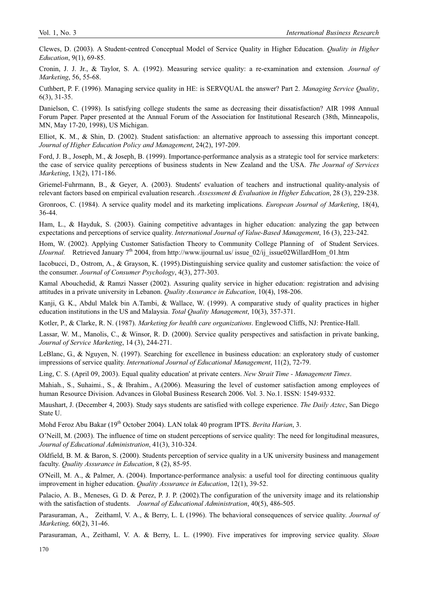Clewes, D. (2003). A Student-centred Conceptual Model of Service Quality in Higher Education. *Quality in Higher Education*, 9(1), 69-85.

Cronin, J. J. Jr., & Taylor, S. A. (1992). Measuring service quality: a re-examination and extension*. Journal of Marketing*, 56, 55-68.

Cuthbert, P. F. (1996). Managing service quality in HE: is SERVQUAL the answer? Part 2. *Managing Service Quality*, 6(3), 31-35.

Danielson, C. (1998). Is satisfying college students the same as decreasing their dissatisfaction? AIR 1998 Annual Forum Paper. Paper presented at the Annual Forum of the Association for Institutional Research (38th, Minneapolis, MN, May 17-20, 1998), US Michigan.

Elliot, K. M., & Shin, D. (2002). Student satisfaction: an alternative approach to assessing this important concept. *Journal of Higher Education Policy and Management*, 24(2), 197-209.

Ford, J. B., Joseph, M., & Joseph, B. (1999). Importance-performance analysis as a strategic tool for service marketers: the case of service quality perceptions of business students in New Zealand and the USA. *The Journal of Services Marketing*, 13(2), 171-186.

Griemel-Fuhrmann, B., & Geyer, A. (2003). Students' evaluation of teachers and instructional quality-analysis of relevant factors based on empirical evaluation research. *Assessment & Evaluation in Higher Education*, 28 (3), 229-238.

Gronroos, C. (1984). A service quality model and its marketing implications. *European Journal of Marketing*, 18(4), 36-44.

Ham, L., & Hayduk, S. (2003). Gaining competitive advantages in higher education: analyzing the gap between expectations and perceptions of service quality. *International Journal of Value-Based Management*, 16 (3), 223-242.

Hom, W. (2002). Applying Customer Satisfaction Theory to Community College Planning of of Student Services. *IJournal.* Retrieved January 7<sup>th</sup> 2004, from http://www.ijournal.us/ issue 02/ij\_issue02WillardHom\_01.htm

Iacobucci, D., Ostrom, A., & Grayson, K. (1995).Distinguishing service quality and customer satisfaction: the voice of the consumer. *Journal of Consumer Psychology*, 4(3), 277-303.

Kamal Abouchedid, & Ramzi Nasser (2002). Assuring quality service in higher education: registration and advising attitudes in a private university in Lebanon. *Quality Assurance in Education*, 10(4), 198-206.

Kanji, G. K., Abdul Malek bin A.Tambi, & Wallace, W. (1999). A comparative study of quality practices in higher education institutions in the US and Malaysia. *Total Quality Management*, 10(3), 357-371.

Kotler, P., & Clarke, R. N. (1987). *Marketing for health care organizations*. Englewood Cliffs, NJ: Prentice-Hall.

Lassar, W. M., Manolis, C., & Winsor, R. D. (2000). Service quality perspectives and satisfaction in private banking, *Journal of Service Marketing*, 14 (3), 244-271.

LeBlanc, G., & Nguyen, N. (1997). Searching for excellence in business education: an exploratory study of customer impressions of service quality. *International Journal of Educational Management*, 11(2), 72-79.

Ling, C. S. (April 09, 2003). Equal quality education' at private centers. *New Strait Time - Management Times*.

Mahiah., S., Suhaimi., S., & Ibrahim., A.(2006). Measuring the level of customer satisfaction among employees of human Resource Division. Advances in Global Business Research 2006. Vol. 3. No.1. ISSN: 1549-9332.

Maushart, J. (December 4, 2003). Study says students are satisfied with college experience. *The Daily Aztec*, San Diego State U.

Mohd Feroz Abu Bakar (19<sup>th</sup> October 2004). LAN tolak 40 program IPTS. *Berita Harian*, 3.

O'Neill, M. (2003). The influence of time on student perceptions of service quality: The need for longitudinal measures, *Journal of Educational Administration*, 41(3), 310-324.

Oldfield, B. M. & Baron, S. (2000). Students perception of service quality in a UK university business and management faculty. *Quality Assurance in Education*, 8 (2), 85-95.

O'Neill, M. A., & Palmer, A. (2004). Importance-performance analysis: a useful tool for directing continuous quality improvement in higher education. *Quality Assurance in Education*, 12(1), 39-52.

Palacio, A. B., Meneses, G. D. & Perez, P. J. P. (2002).The configuration of the university image and its relationship with the satisfaction of students. *Journal of Educational Administration*, 40(5), 486-505.

Parasuraman, A., Zeithaml, V. A., & Berry, L. L (1996). The behavioral consequences of service quality. *Journal of Marketing,* 60(2), 31-46.

Parasuraman, A., Zeithaml, V. A. & Berry, L. L. (1990). Five imperatives for improving service quality. *Sloan*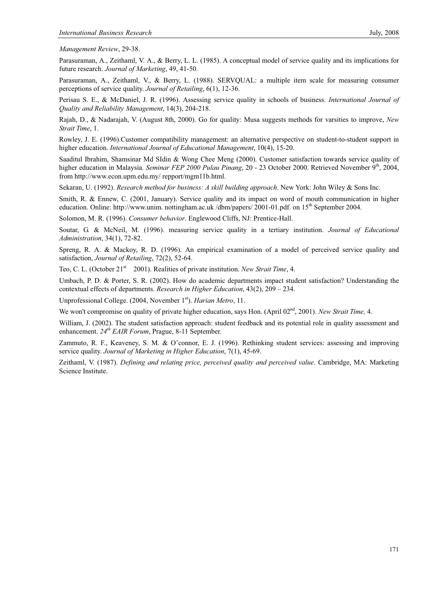*Management Review*, 29-38.

Parasuraman, A., Zeithaml, V. A., & Berry, L. L. (1985). A conceptual model of service quality and its implications for future research. *Journal of Marketing*, 49, 41-50.

Parasuraman, A., Zeithaml, V., & Berry, L. (1988). SERVQUAL: a multiple item scale for measuring consumer perceptions of service quality. *Journal of Retailing*, 6(1), 12-36.

Perisau S. E., & McDaniel, J. R. (1996). Assessing service quality in schools of business. *International Journal of Quality and Reliability Management*, 14(3), 204-218.

Rajah, D., & Nadarajah, V. (August 8th, 2000). Go for quality: Musa suggests methods for varsities to improve, *New Strait Time*, 1.

Rowley, J. E. (1996).Customer compatibility management: an alternative perspective on student-to-student support in higher education. *International Journal of Educational Management*, 10(4), 15-20.

Saaditul Ibrahim, Shamsinar Md SIdin & Wong Chee Meng (2000). Customer satisfaction towards service quality of higher education in Malaysia. *Seminar FEP 2000 Pulau Pinang*, 20 - 23 October 2000. Retrieved November 9<sup>th</sup>, 2004, from http://www.econ.upm.edu.my/ repport/mgm11b.html.

Sekaran, U. (1992). *Research method for business: A skill building approach*. New York: John Wiley & Sons Inc.

Smith, R. & Ennew, C. (2001, January). Service quality and its impact on word of mouth communication in higher education. Online: http://www.unim. nottingham.ac.uk /dbm/papers/ 2001-01.pdf. on 15<sup>th</sup> September 2004.

Solomon, M. R. (1996). *Consumer behavior*. Englewood Cliffs, NJ: Prentice-Hall.

Soutar, G. & McNeil, M. (1996). measuring service quality in a tertiary institution. *Journal of Educational Administration*, 34(1), 72-82.

Spreng, R. A. & Mackoy, R. D. (1996). An empirical examination of a model of perceived service quality and satisfaction, *Journal of Retailing*, 72(2), 52-64.

Teo, C. L. (October 21<sup>st</sup> 2001). Realities of private institution. *New Strait Time*, 4.

Umbach, P. D. & Porter, S. R. (2002). How do academic departments impact student satisfaction? Understanding the contextual effects of departments. *Research in Higher Education*, 43(2), 209 – 234.

Unprofessional College. (2004, November 1st). *Harian Metro*, 11.

We won't compromise on quality of private higher education, says Hon. (April 02<sup>nd</sup>, 2001). *New Strait Time*, 4.

William, J. (2002). The student satisfaction approach: student feedback and its potential role in quality assessment and enhancement. *24th EAIR Forum*, Prague, 8-11 September.

Zammuto, R. F., Keaveney, S. M. & O'connor, E. J. (1996). Rethinking student services: assessing and improving service quality. *Journal of Marketing in Higher Education*, 7(1), 45-69.

Zeithaml, V. (1987). *Defining and relating price, perceived quality and perceived value*. Cambridge, MA: Marketing Science Institute.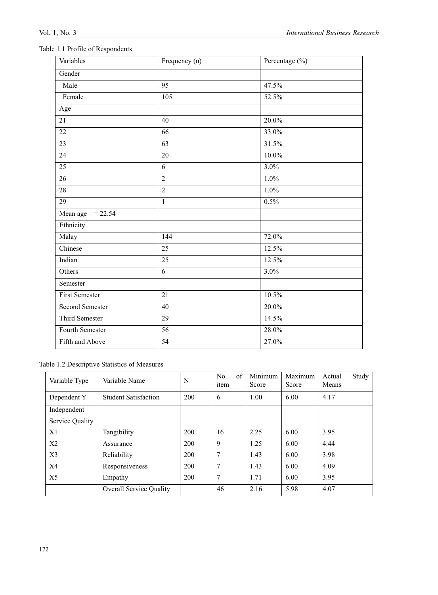| Variables              | Frequency (n)  | Percentage $(\% )$ |
|------------------------|----------------|--------------------|
| Gender                 |                |                    |
| Male                   | 95             | 47.5%              |
| Female                 | 105            | 52.5%              |
| Age                    |                |                    |
| 21                     | 40             | 20.0%              |
| 22                     | 66             | 33.0%              |
| 23                     | 63             | 31.5%              |
| 24                     | 20             | $10.0\%$           |
| 25                     | 6              | $3.0\%$            |
| 26                     | $\overline{2}$ | 1.0%               |
| 28                     | $\overline{2}$ | 1.0%               |
| 29                     | $\mathbf{1}$   | 0.5%               |
| Mean age<br>$= 22.54$  |                |                    |
| Ethnicity              |                |                    |
| Malay                  | 144            | 72.0%              |
| Chinese                | 25             | 12.5%              |
| Indian                 | 25             | 12.5%              |
| Others                 | 6              | 3.0%               |
| Semester               |                |                    |
| <b>First Semester</b>  | 21             | 10.5%              |
| <b>Second Semester</b> | 40             | 20.0%              |
| Third Semester         | 29             | 14.5%              |
| Fourth Semester        | 56             | 28.0%              |
| Fifth and Above        | 54             | 27.0%              |

Table 1.1 Profile of Respondents

Table 1.2 Descriptive Statistics of Measures

| Variable Type   | Variable Name                  | N   | of<br>No.<br>item | Minimum<br>Score | Maximum<br>Score | Study<br>Actual<br>Means |
|-----------------|--------------------------------|-----|-------------------|------------------|------------------|--------------------------|
| Dependent Y     | <b>Student Satisfaction</b>    | 200 | 6                 | 1.00             | 6.00             | 4.17                     |
| Independent     |                                |     |                   |                  |                  |                          |
| Service Quality |                                |     |                   |                  |                  |                          |
| X1              | Tangibility                    | 200 | 16                | 2.25             | 6.00             | 3.95                     |
| X2              | Assurance                      | 200 | 9                 | 1.25             | 6.00             | 4.44                     |
| X <sub>3</sub>  | Reliability                    | 200 | 7                 | 1.43             | 6.00             | 3.98                     |
| X <sub>4</sub>  | Responsiveness                 | 200 | 7                 | 1.43             | 6.00             | 4.09                     |
| X <sub>5</sub>  | Empathy                        | 200 | 7                 | 1.71             | 6.00             | 3.95                     |
|                 | <b>Overall Service Quality</b> |     | 46                | 2.16             | 5.98             | 4.07                     |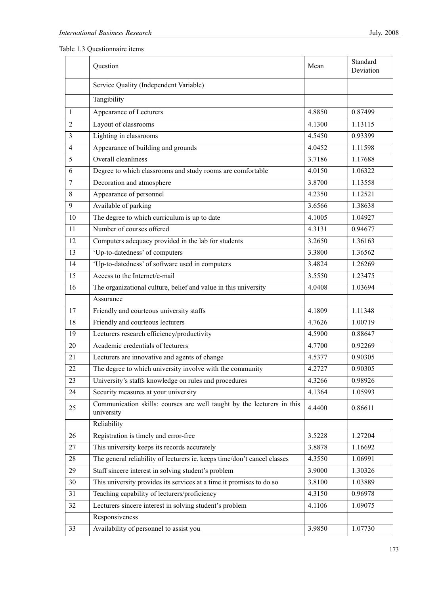|                | Question                                                                             | Mean   | Standard<br>Deviation |
|----------------|--------------------------------------------------------------------------------------|--------|-----------------------|
|                | Service Quality (Independent Variable)                                               |        |                       |
|                | Tangibility                                                                          |        |                       |
| $\mathbf{1}$   | Appearance of Lecturers                                                              | 4.8850 | 0.87499               |
| $\overline{2}$ | Layout of classrooms                                                                 | 4.1300 | 1.13115               |
| $\overline{3}$ | Lighting in classrooms                                                               | 4.5450 | 0.93399               |
| $\overline{4}$ | Appearance of building and grounds                                                   | 4.0452 | 1.11598               |
| 5              | Overall cleanliness                                                                  | 3.7186 | 1.17688               |
| 6              | Degree to which classrooms and study rooms are comfortable                           | 4.0150 | 1.06322               |
| 7              | Decoration and atmosphere                                                            | 3.8700 | 1.13558               |
| 8              | Appearance of personnel                                                              | 4.2350 | 1.12521               |
| 9              | Available of parking                                                                 | 3.6566 | 1.38638               |
| 10             | The degree to which curriculum is up to date                                         | 4.1005 | 1.04927               |
| 11             | Number of courses offered                                                            | 4.3131 | 0.94677               |
| 12             | Computers adequacy provided in the lab for students                                  | 3.2650 | 1.36163               |
| 13             | 'Up-to-datedness' of computers                                                       | 3.3800 | 1.36562               |
| 14             | 'Up-to-datedness' of software used in computers                                      | 3.4824 | 1.26269               |
| 15             | Access to the Internet/e-mail                                                        | 3.5550 | 1.23475               |
| 16             | The organizational culture, belief and value in this university                      | 4.0408 | 1.03694               |
|                | Assurance                                                                            |        |                       |
| 17             | Friendly and courteous university staffs                                             | 4.1809 | 1.11348               |
| 18             | Friendly and courteous lecturers                                                     | 4.7626 | 1.00719               |
| 19             | Lecturers research efficiency/productivity                                           | 4.5900 | 0.88647               |
| 20             | Academic credentials of lecturers                                                    | 4.7700 | 0.92269               |
| 21             | Lecturers are innovative and agents of change                                        | 4.5377 | 0.90305               |
| 22             | The degree to which university involve with the community                            | 4.2727 | 0.90305               |
| 23             | University's staffs knowledge on rules and procedures                                | 4.3266 | 0.98926               |
| 24             | Security measures at your university                                                 | 4.1364 | 1.05993               |
| 25             | Communication skills: courses are well taught by the lecturers in this<br>university | 4.4400 | 0.86611               |
|                | Reliability                                                                          |        |                       |
| 26             | Registration is timely and error-free                                                | 3.5228 | 1.27204               |
| 27             | This university keeps its records accurately                                         | 3.8878 | 1.16692               |
| 28             | The general reliability of lecturers ie. keeps time/don't cancel classes             | 4.3550 | 1.06991               |
| 29             | Staff sincere interest in solving student's problem                                  | 3.9000 | 1.30326               |
| 30             | This university provides its services at a time it promises to do so                 | 3.8100 | 1.03889               |
| 31             | Teaching capability of lecturers/proficiency                                         | 4.3150 | 0.96978               |
| 32             | Lecturers sincere interest in solving student's problem                              | 4.1106 | 1.09075               |
|                | Responsiveness                                                                       |        |                       |
| 33             | Availability of personnel to assist you                                              | 3.9850 | 1.07730               |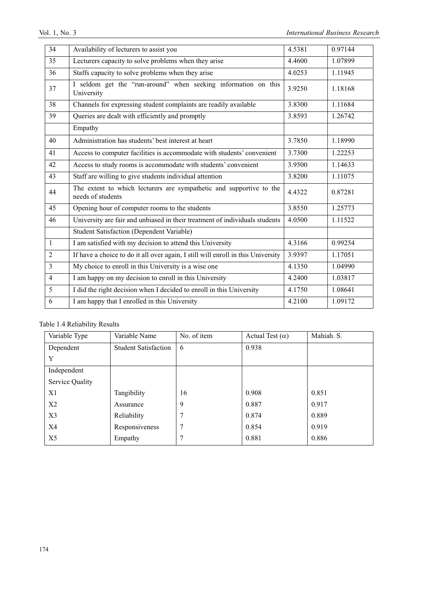| 34             | Availability of lecturers to assist you                                                  | 4.5381 | 0.97144 |
|----------------|------------------------------------------------------------------------------------------|--------|---------|
| 35             | Lecturers capacity to solve problems when they arise                                     | 4.4600 | 1.07899 |
| 36             | Staffs capacity to solve problems when they arise                                        | 4.0253 | 1.11945 |
| 37             | I seldom get the "run-around" when seeking information on this<br>University             | 3.9250 | 1.18168 |
| 38             | Channels for expressing student complaints are readily available                         | 3.8300 | 1.11684 |
| 39             | Queries are dealt with efficiently and promptly                                          | 3.8593 | 1.26742 |
|                | Empathy                                                                                  |        |         |
| 40             | Administration has students' best interest at heart                                      | 3.7850 | 1.18990 |
| 41             | Access to computer facilities is accommodate with students' convenient                   | 3.7300 | 1.22253 |
| 42             | Access to study rooms is accommodate with students' convenient                           | 3.9500 | 1.14633 |
| 43             | Staff are willing to give students individual attention                                  | 3.8200 | 1.11075 |
| 44             | The extent to which lecturers are sympathetic and supportive to the<br>needs of students | 4.4322 | 0.87281 |
| 45             | Opening hour of computer rooms to the students                                           | 3.8550 | 1.25773 |
| 46             | University are fair and unbiased in their treatment of individuals students              | 4.0500 | 1.11522 |
|                | <b>Student Satisfaction (Dependent Variable)</b>                                         |        |         |
| $\mathbf{1}$   | I am satisfied with my decision to attend this University                                | 4.3166 | 0.99254 |
| $\overline{2}$ | If have a choice to do it all over again, I still will enroll in this University         | 3.9397 | 1.17051 |
| 3              | My choice to enroll in this University is a wise one                                     | 4.1350 | 1.04990 |
| $\overline{4}$ | I am happy on my decision to enroll in this University                                   | 4.2400 | 1.03817 |
| 5              | I did the right decision when I decided to enroll in this University                     | 4.1750 | 1.08641 |
| 6              | I am happy that I enrolled in this University                                            | 4.2100 | 1.09172 |

# Table 1.4 Reliability Results

| Variable Type   | Variable Name               | No. of item | Actual Test $(\alpha)$ | Mahiah. S. |
|-----------------|-----------------------------|-------------|------------------------|------------|
| Dependent       | <b>Student Satisfaction</b> | 6           | 0.938                  |            |
| Y               |                             |             |                        |            |
| Independent     |                             |             |                        |            |
| Service Quality |                             |             |                        |            |
| X1              | Tangibility                 | 16          | 0.908                  | 0.851      |
| X2              | Assurance                   | 9           | 0.887                  | 0.917      |
| X <sub>3</sub>  | Reliability                 | 7           | 0.874                  | 0.889      |
| X4              | Responsiveness              | 7           | 0.854                  | 0.919      |
| X5              | Empathy                     | 7           | 0.881                  | 0.886      |